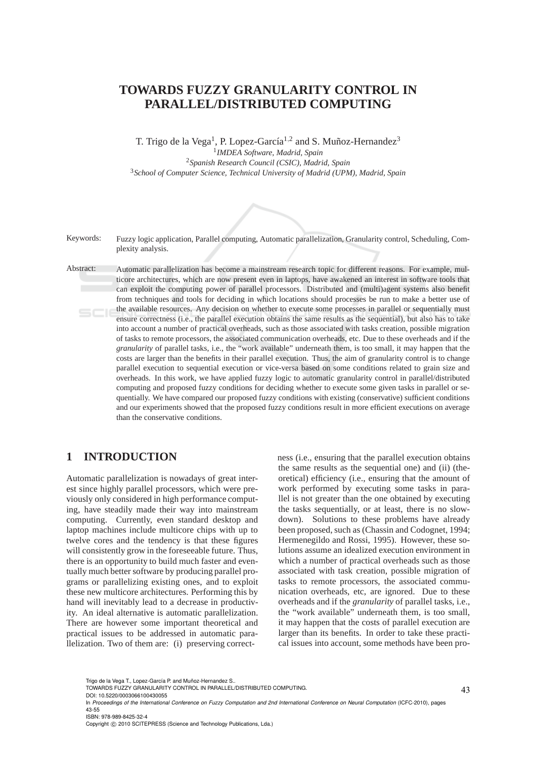# **TOWARDS FUZZY GRANULARITY CONTROL IN PARALLEL/DISTRIBUTED COMPUTING**

T. Trigo de la Vega<sup>1</sup>, P. Lopez-García<sup>1,2</sup> and S. Muñoz-Hernandez<sup>3</sup> *IMDEA Software, Madrid, Spain Spanish Research Council (CSIC), Madrid, Spain School of Computer Science, Technical University of Madrid (UPM), Madrid, Spain*

Keywords: Fuzzy logic application, Parallel computing, Automatic parallelization, Granularity control, Scheduling, Complexity analysis.

Abstract: Automatic parallelization has become a mainstream research topic for different reasons. For example, multicore architectures, which are now present even in laptops, have awakened an interest in software tools that can exploit the computing power of parallel processors. Distributed and (multi)agent systems also benefit from techniques and tools for deciding in which locations should processes be run to make a better use of the available resources. Any decision on whether to execute some processes in parallel or sequentially must  $5C$ ensure correctness (i.e., the parallel execution obtains the same results as the sequential), but also has to take into account a number of practical overheads, such as those associated with tasks creation, possible migration of tasks to remote processors, the associated communication overheads, etc. Due to these overheads and if the *granularity* of parallel tasks, i.e., the "work available" underneath them, is too small, it may happen that the costs are larger than the benefits in their parallel execution. Thus, the aim of granularity control is to change parallel execution to sequential execution or vice-versa based on some conditions related to grain size and overheads. In this work, we have applied fuzzy logic to automatic granularity control in parallel/distributed computing and proposed fuzzy conditions for deciding whether to execute some given tasks in parallel or sequentially. We have compared our proposed fuzzy conditions with existing (conservative) sufficient conditions and our experiments showed that the proposed fuzzy conditions result in more efficient executions on average than the conservative conditions.

## **1 INTRODUCTION**

Automatic parallelization is nowadays of great interest since highly parallel processors, which were previously only considered in high performance computing, have steadily made their way into mainstream computing. Currently, even standard desktop and laptop machines include multicore chips with up to twelve cores and the tendency is that these figures will consistently grow in the foreseeable future. Thus, there is an opportunity to build much faster and eventually much better software by producing parallel programs or parallelizing existing ones, and to exploit these new multicore architectures. Performing this by hand will inevitably lead to a decrease in productivity. An ideal alternative is automatic parallelization. There are however some important theoretical and practical issues to be addressed in automatic parallelization. Two of them are: (i) preserving correctness (i.e., ensuring that the parallel execution obtains the same results as the sequential one) and (ii) (theoretical) efficiency (i.e., ensuring that the amount of work performed by executing some tasks in parallel is not greater than the one obtained by executing the tasks sequentially, or at least, there is no slowdown). Solutions to these problems have already been proposed, such as (Chassin and Codognet, 1994; Hermenegildo and Rossi, 1995). However, these solutions assume an idealized execution environment in which a number of practical overheads such as those associated with task creation, possible migration of tasks to remote processors, the associated communication overheads, etc, are ignored. Due to these overheads and if the *granularity* of parallel tasks, i.e., the "work available" underneath them, is too small, it may happen that the costs of parallel execution are larger than its benefits. In order to take these practical issues into account, some methods have been pro-

Trigo de la Vega T., Lopez-García P. and Muñoz-Hernandez S..

TOWARDS FUZZY GRANULARITY CONTROL IN PARALLEL/DISTRIBUTED COMPUTING.

DOI: 10.5220/0003066100430055

In *Proceedings of the International Conference on Fuzzy Computation and 2nd International Conference on Neural Computation* (ICFC-2010), pages 43-55 ISBN: 978-989-8425-32-4

Copyright © 2010 SCITEPRESS (Science and Technology Publications, Lda.)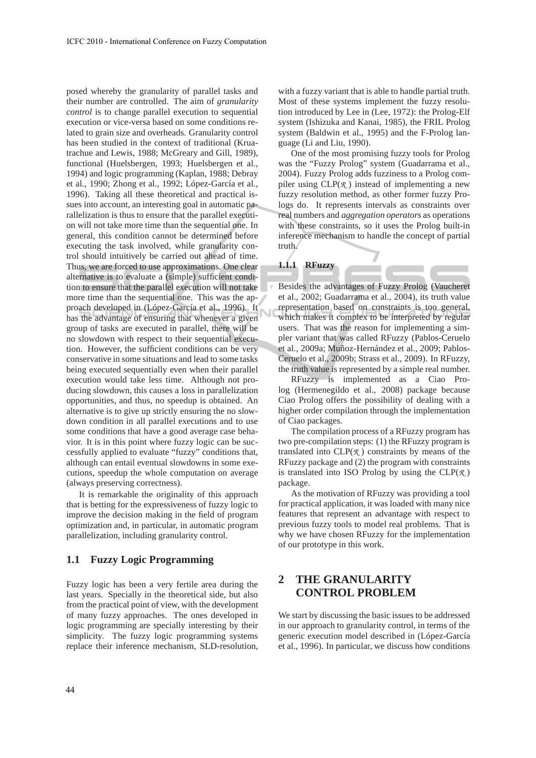posed whereby the granularity of parallel tasks and their number are controlled. The aim of *granularity control* is to change parallel execution to sequential execution or vice-versa based on some conditions related to grain size and overheads. Granularity control has been studied in the context of traditional (Kruatrachue and Lewis, 1988; McGreary and Gill, 1989), functional (Huelsbergen, 1993; Huelsbergen et al., 1994) and logic programming (Kaplan, 1988; Debray et al., 1990; Zhong et al., 1992; López-García et al., 1996). Taking all these theoretical and practical issues into account, an interesting goal in automatic parallelization is thus to ensure that the parallel execution will not take more time than the sequential one. In general, this condition cannot be determined before executing the task involved, while granularity control should intuitively be carried out ahead of time. Thus, we are forced to use approximations. One clear alternative is to evaluate a (simple) sufficient condition to ensure that the parallel execution will not take more time than the sequential one. This was the approach developed in (López-García et al., 1996). It has the advantage of ensuring that whenever a given group of tasks are executed in parallel, there will be no slowdown with respect to their sequential execution. However, the sufficient conditions can be very conservative in some situations and lead to some tasks being executed sequentially even when their parallel execution would take less time. Although not producing slowdown, this causes a loss in parallelization opportunities, and thus, no speedup is obtained. An alternative is to give up strictly ensuring the no slowdown condition in all parallel executions and to use some conditions that have a good average case behavior. It is in this point where fuzzy logic can be successfully applied to evaluate "fuzzy" conditions that, although can entail eventual slowdowns in some executions, speedup the whole computation on average (always preserving correctness).

Ñ

It is remarkable the originality of this approach that is betting for the expressiveness of fuzzy logic to improve the decision making in the field of program optimization and, in particular, in automatic program parallelization, including granularity control.

#### **1.1 Fuzzy Logic Programming**

Fuzzy logic has been a very fertile area during the last years. Specially in the theoretical side, but also from the practical point of view, with the development of many fuzzy approaches. The ones developed in logic programming are specially interesting by their simplicity. The fuzzy logic programming systems replace their inference mechanism, SLD-resolution, with a fuzzy variant that is able to handle partial truth. Most of these systems implement the fuzzy resolution introduced by Lee in (Lee, 1972): the Prolog-Elf system (Ishizuka and Kanai, 1985), the FRIL Prolog system (Baldwin et al., 1995) and the F-Prolog language (Li and Liu, 1990).

One of the most promising fuzzy tools for Prolog was the "Fuzzy Prolog" system (Guadarrama et al., 2004). Fuzzy Prolog adds fuzziness to a Prolog compiler using  $CLP(\mathcal{R})$  instead of implementing a new fuzzy resolution method, as other former fuzzy Prologs do. It represents intervals as constraints over real numbers and *aggregation operators* as operations with these constraints, so it uses the Prolog built-in inference mechanism to handle the concept of partial truth.



Besides the advantages of Fuzzy Prolog (Vaucheret et al., 2002; Guadarrama et al., 2004), its truth value representation based on constraints is too general, which makes it complex to be interpreted by regular users. That was the reason for implementing a simpler variant that was called RFuzzy (Pablos-Ceruelo et al., 2009a; Muñoz-Hernández et al., 2009; Pablos-Ceruelo et al., 2009b; Strass et al., 2009). In RFuzzy, the truth value is represented by a simple real number.

RFuzzy is implemented as a Ciao Prolog (Hermenegildo et al., 2008) package because Ciao Prolog offers the possibility of dealing with a higher order compilation through the implementation of Ciao packages.

The compilation process of a RFuzzy program has two pre-compilation steps: (1) the RFuzzy program is translated into  $CLP(\mathcal{R})$  constraints by means of the RFuzzy package and (2) the program with constraints is translated into ISO Prolog by using the  $CLP(\mathcal{R})$ package.

As the motivation of RFuzzy was providing a tool for practical application, it was loaded with many nice features that represent an advantage with respect to previous fuzzy tools to model real problems. That is why we have chosen RFuzzy for the implementation of our prototype in this work.

## **2 THE GRANULARITY CONTROL PROBLEM**

We start by discussing the basic issues to be addressed in our approach to granularity control, in terms of the generic execution model described in (López-García et al., 1996). In particular, we discuss how conditions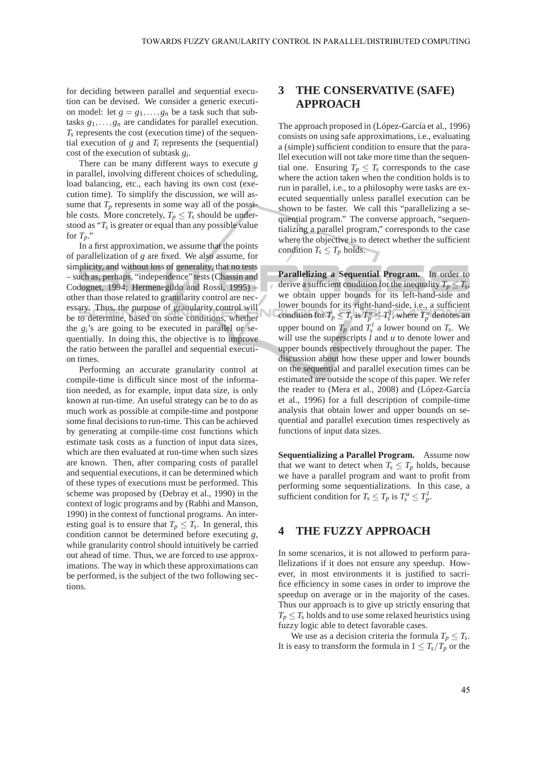for deciding between parallel and sequential execution can be devised. We consider a generic execution model: let  $g = g_1, \ldots, g_n$  be a task such that subtasks  $g_1, \ldots, g_n$  are candidates for parallel execution.  $T<sub>s</sub>$  represents the cost (execution time) of the sequential execution of  $g$  and  $T_i$  represents the (sequential) cost of the execution of subtask *g<sup>i</sup>* .

There can be many different ways to execute *g* in parallel, involving different choices of scheduling, load balancing, etc., each having its own cost (execution time). To simplify the discussion, we will assume that  $T_p$  represents in some way all of the possible costs. More concretely,  $T_p \leq T_s$  should be understood as "*T<sup>s</sup>* is greater or equal than any possible value for  $T_p$ ."

In a first approximation, we assume that the points of parallelization of *g* are fixed. We also assume, for simplicity, and without loss of generality, that no tests – such as, perhaps, "independence" tests (Chassin and Codognet, 1994; Hermenegildo and Rossi, 1995) – other than those related to granularity control are necessary. Thus, the purpose of granularity control will be to determine, based on some conditions, whether the  $g_i$ 's are going to be executed in parallel or sequentially. In doing this, the objective is to improve the ratio between the parallel and sequential execution times.

Performing an accurate granularity control at compile-time is difficult since most of the information needed, as for example, input data size, is only known at run-time. An useful strategy can be to do as much work as possible at compile-time and postpone some final decisions to run-time. This can be achieved by generating at compile-time cost functions which estimate task costs as a function of input data sizes, which are then evaluated at run-time when such sizes are known. Then, after comparing costs of parallel and sequential executions, it can be determined which of these types of executions must be performed. This scheme was proposed by (Debray et al., 1990) in the context of logic programs and by (Rabhi and Manson, 1990) in the context of functional programs. An interesting goal is to ensure that  $T_p \leq T_s$ . In general, this condition cannot be determined before executing *g*, while granularity control should intuitively be carried out ahead of time. Thus, we are forced to use approximations. The way in which these approximations can be performed, is the subject of the two following sections.

## **3 THE CONSERVATIVE (SAFE) APPROACH**

The approach proposed in (López-García et al., 1996) consists on using safe approximations, i.e., evaluating a (simple) sufficient condition to ensure that the parallel execution will not take more time than the sequential one. Ensuring  $T_p \leq T_s$  corresponds to the case where the action taken when the condition holds is to run in parallel, i.e., to a philosophy were tasks are executed sequentially unless parallel execution can be shown to be faster. We call this "parallelizing a sequential program." The converse approach, "sequentializing a parallel program," corresponds to the case where the objective is to detect whether the sufficient condition  $T_s \leq T_p$  holds.

**Parallelizing a Sequential Program.** In order to derive a sufficient condition for the inequality  $T_p \leq T_s$ , we obtain upper bounds for its left-hand-side and lower bounds for its right-hand-side, i.e., a sufficient condition for  $T_p \leq T_s$  is  $T_p^u \leq T_s^l$ , where  $T_p^u$  denotes an upper bound on  $T_p$  and  $T_s^l$  a lower bound on  $T_s$ . We will use the superscripts *l* and *u* to denote lower and upper bounds respectively throughout the paper. The discussion about how these upper and lower bounds on the sequential and parallel execution times can be estimated are outside the scope of this paper. We refer the reader to (Mera et al., 2008) and (López-García et al., 1996) for a full description of compile-time analysis that obtain lower and upper bounds on sequential and parallel execution times respectively as functions of input data sizes.

**Sequentializing a Parallel Program.** Assume now that we want to detect when  $T_s \leq T_p$  holds, because we have a parallel program and want to profit from performing some sequentializations. In this case, a sufficient condition for  $T_s \leq T_p$  is  $T_s^u \leq T_p^l$ .

## **4 THE FUZZY APPROACH**

In some scenarios, it is not allowed to perform parallelizations if it does not ensure any speedup. However, in most environments it is justified to sacrifice efficiency in some cases in order to improve the speedup on average or in the majority of the cases. Thus our approach is to give up strictly ensuring that  $T_p \leq T_s$  holds and to use some relaxed heuristics using fuzzy logic able to detect favorable cases.

We use as a decision criteria the formula  $T_p \leq T_s$ . It is easy to transform the formula in  $1 \leq T_s/T_p$  or the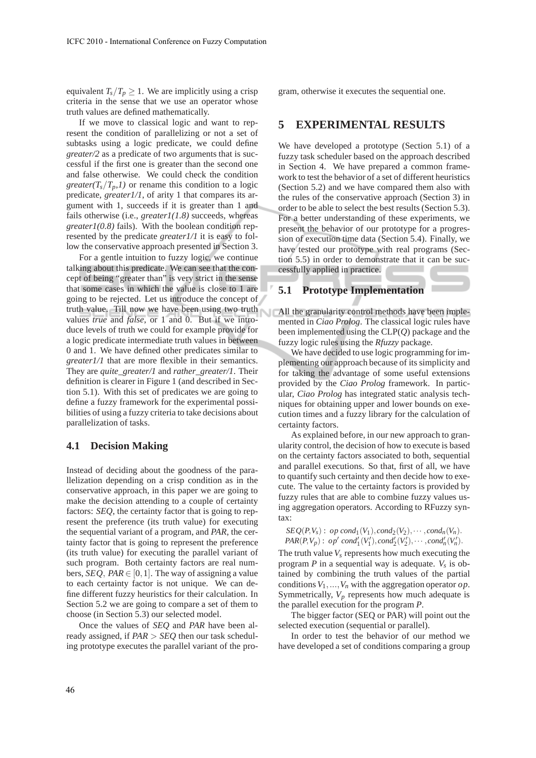equivalent  $T_s/T_p \geq 1$ . We are implicitly using a crisp criteria in the sense that we use an operator whose truth values are defined mathematically.

If we move to classical logic and want to represent the condition of parallelizing or not a set of subtasks using a logic predicate, we could define *greater/2* as a predicate of two arguments that is successful if the first one is greater than the second one and false otherwise. We could check the condition *greater*( $T_s/T_p$ , *I*) or rename this condition to a logic predicate, *greater1/1*, of arity 1 that compares its argument with 1, succeeds if it is greater than 1 and fails otherwise (i.e., *greater1(1.8)* succeeds, whereas *greater1(0.8)* fails). With the boolean condition represented by the predicate *greater1/1* it is easy to follow the conservative approach presented in Section 3.

For a gentle intuition to fuzzy logic, we continue talking about this predicate. We can see that the concept of being "greater than" is very strict in the sense that some cases in which the value is close to 1 are going to be rejected. Let us introduce the concept of truth value. Till now we have been using two truth values *true* and *false*, or 1 and 0. But if we introduce levels of truth we could for example provide for a logic predicate intermediate truth values in between 0 and 1. We have defined other predicates similar to *greater1/1* that are more flexible in their semantics. They are *quite\_greater/1* and *rather\_greater/1*. Their definition is clearer in Figure 1 (and described in Section 5.1). With this set of predicates we are going to define a fuzzy framework for the experimental possibilities of using a fuzzy criteria to take decisions about parallelization of tasks.

#### **4.1 Decision Making**

Instead of deciding about the goodness of the parallelization depending on a crisp condition as in the conservative approach, in this paper we are going to make the decision attending to a couple of certainty factors: *SEQ*, the certainty factor that is going to represent the preference (its truth value) for executing the sequential variant of a program, and *PAR*, the certainty factor that is going to represent the preference (its truth value) for executing the parallel variant of such program. Both certainty factors are real numbers, *SEQ*, *PAR*  $\in$  [0,1]. The way of assigning a value to each certainty factor is not unique. We can define different fuzzy heuristics for their calculation. In Section 5.2 we are going to compare a set of them to choose (in Section 5.3) our selected model.

Once the values of *SEQ* and *PAR* have been already assigned, if *PAR* > *SEQ* then our task scheduling prototype executes the parallel variant of the program, otherwise it executes the sequential one.

### **5 EXPERIMENTAL RESULTS**

We have developed a prototype (Section 5.1) of a fuzzy task scheduler based on the approach described in Section 4. We have prepared a common framework to test the behavior of a set of different heuristics (Section 5.2) and we have compared them also with the rules of the conservative approach (Section 3) in order to be able to select the best results (Section 5.3). For a better understanding of these experiments, we present the behavior of our prototype for a progression of execution time data (Section 5.4). Finally, we have tested our prototype with real programs (Section 5.5) in order to demonstrate that it can be successfully applied in practice.

### **5.1 Prototype Implementation**

All the granularity control methods have been implemented in *Ciao Prolog*. The classical logic rules have been implemented using the CLP(*Q*) package and the fuzzy logic rules using the *Rfuzzy* package.

We have decided to use logic programming for implementing our approach because of its simplicity and for taking the advantage of some useful extensions provided by the *Ciao Prolog* framework. In particular, *Ciao Prolog* has integrated static analysis techniques for obtaining upper and lower bounds on execution times and a fuzzy library for the calculation of certainty factors.

As explained before, in our new approach to granularity control, the decision of how to execute is based on the certainty factors associated to both, sequential and parallel executions. So that, first of all, we have to quantify such certainty and then decide how to execute. The value to the certainty factors is provided by fuzzy rules that are able to combine fuzzy values using aggregation operators. According to RFuzzy syntax:

```
\text{SEQ}(P, V_s): op cond<sub>1</sub>(V<sub>1</sub>), cond<sub>2</sub>(V<sub>2</sub>), ···, cond<sub>n</sub>(V<sub>n</sub>).
PAR(P, V_p) : op' \text{ cond}'_1(V'_1), cond'_2(V'_2), \cdots, cond'_n(V'_n).
```
The truth value *V<sup>s</sup>* represents how much executing the program *P* in a sequential way is adequate. *V<sup>s</sup>* is obtained by combining the truth values of the partial conditions  $V_1, \ldots, V_n$  with the aggregation operator  $op$ . Symmetrically,  $V_p$  represents how much adequate is the parallel execution for the program *P*.

The bigger factor (SEQ or PAR) will point out the selected execution (sequential or parallel).

In order to test the behavior of our method we have developed a set of conditions comparing a group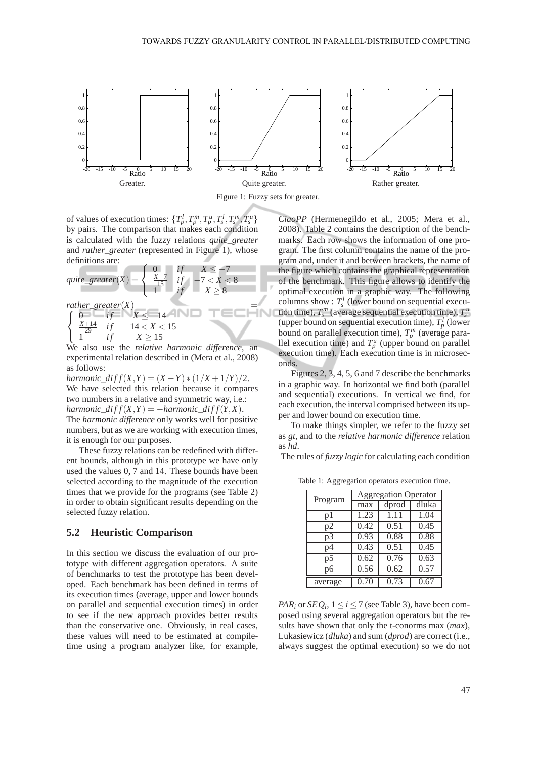

of values of execution times:  $\{T_p^l, T_p^m, T_p^u, T_s^l, T_s^m, T_s^u\}$ by pairs. The comparison that makes each condition is calculated with the fuzzy relations *quite\_greater* and *rather\_greater* (represented in Figure 1), whose definitions are:

$$
quite\_greater(X) = \begin{cases} 0 & if & X \le -7 \\ \frac{X+7}{15} & if & -7 < X < 8 \\ 1 & if & X \ge 8 \end{cases}
$$
  

$$
rather\_greater(X)
$$
  

$$
\begin{cases} 0 & if & X \le -14 \\ \frac{X+14}{29} & if & -14 < X < 15 \\ 1 & if & X \ge 15 \end{cases}
$$

We also use the *relative harmonic difference*, an experimental relation described in (Mera et al., 2008) as follows:

*harmonic\_dif f*(*X*,*Y*) = (*X* − *Y*)  $*(1/X + 1/Y)/2$ . We have selected this relation because it compares two numbers in a relative and symmetric way, i.e.: *harmonic*  $diff(X, Y) = -harmonic\; diff(Y, X)$ . The *harmonic difference* only works well for positive numbers, but as we are working with execution times, it is enough for our purposes.

These fuzzy relations can be redefined with different bounds, although in this prototype we have only used the values 0, 7 and 14. These bounds have been selected according to the magnitude of the execution times that we provide for the programs (see Table 2) in order to obtain significant results depending on the selected fuzzy relation.

### **5.2 Heuristic Comparison**

In this section we discuss the evaluation of our prototype with different aggregation operators. A suite of benchmarks to test the prototype has been developed. Each benchmark has been defined in terms of its execution times (average, upper and lower bounds on parallel and sequential execution times) in order to see if the new approach provides better results than the conservative one. Obviously, in real cases, these values will need to be estimated at compiletime using a program analyzer like, for example,

*CiaoPP* (Hermenegildo et al., 2005; Mera et al., 2008). Table 2 contains the description of the benchmarks. Each row shows the information of one program. The first column contains the name of the program and, under it and between brackets, the name of the figure which contains the graphical representation of the benchmark. This figure allows to identify the optimal execution in a graphic way. The following columns show :  $T_s^l$  (lower bound on sequential execution time),  $T_s^m$  (average sequential execution time),  $T_s^u$ (upper bound on sequential execution time),  $T_p^l$  (lower bound on parallel execution time),  $T_p^m$  (average parallel execution time) and  $T_p^u$  (upper bound on parallel execution time). Each execution time is in microseconds.

Figures 2, 3, 4, 5, 6 and 7 describe the benchmarks in a graphic way. In horizontal we find both (parallel and sequential) executions. In vertical we find, for each execution, the interval comprised between its upper and lower bound on execution time.

To make things simpler, we refer to the fuzzy set as *gt*, and to the *relative harmonic difference* relation as *hd*.

The rules of *fuzzy logic* for calculating each condition

Table 1: Aggregation operators execution time.

| Program | <b>Aggregation Operator</b> |       |       |  |  |  |  |  |
|---------|-----------------------------|-------|-------|--|--|--|--|--|
|         | max                         | dprod | dluka |  |  |  |  |  |
| pl      | 1.23                        | 1.11  | 1.04  |  |  |  |  |  |
| p2      | 0.42                        | 0.51  | 0.45  |  |  |  |  |  |
| p3      | 0.93                        | 0.88  | 0.88  |  |  |  |  |  |
| p4      | 0.43                        | 0.51  | 0.45  |  |  |  |  |  |
| p5      | 0.62                        | 0.76  | 0.63  |  |  |  |  |  |
| p6      | $\overline{0.56}$           | 0.62  | 0.57  |  |  |  |  |  |
| average | 0.70                        | 0.73  | 0.67  |  |  |  |  |  |

*PAR*<sup>*i*</sup> or *SEQ*<sup>*i*</sup>,  $1 \le i \le 7$  (see Table 3), have been composed using several aggregation operators but the results have shown that only the t-conorms max (*max*), Lukasiewicz (*dluka*) and sum (*dprod*) are correct (i.e., always suggest the optimal execution) so we do not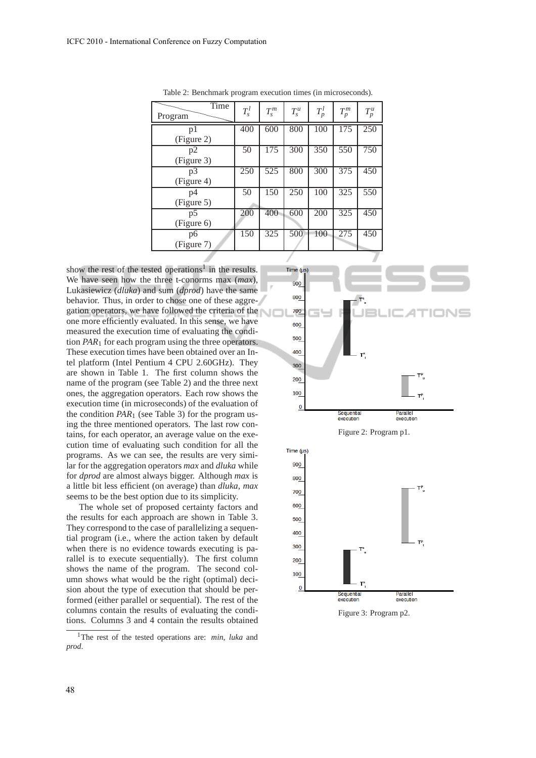| Time<br>Program | $T_s^l$ | $T_s^m$ | $T_{s}^{\mu}$ | $T_p^l$ | $T_p^m$ | $T_p^u$ |
|-----------------|---------|---------|---------------|---------|---------|---------|
| p1              | 400     | 600     | 800           | 100     | 175     | 250     |
| (Figure 2)      |         |         |               |         |         |         |
| p2              | 50      | 175     | 300           | 350     | 550     | 750     |
| (Figure 3)      |         |         |               |         |         |         |
| p3              | 250     | 525     | 800           | 300     | 375     | 450     |
| (Figure 4)      |         |         |               |         |         |         |
| p4              | 50      | 150     | 250           | 100     | 325     | 550     |
| (Figure 5)      |         |         |               |         |         |         |
| p5              | 200     | 400     | 600           | 200     | 325     | 450     |
| (Figure 6)      |         |         |               |         |         |         |
| p6              | 150     | 325     | 500           | 100     | 275     | 450     |
| (Figure 7)      |         |         |               |         |         |         |
|                 |         |         |               |         |         |         |

Table 2: Benchmark program execution times (in microseconds).

show the rest of the tested operations<sup>1</sup> in the results. We have seen how the three t-conorms max (*max*), Lukasiewicz (*dluka*) and sum (*dprod*) have the same behavior. Thus, in order to chose one of these aggregation operators, we have followed the criteria of the one more efficiently evaluated. In this sense, we have measured the execution time of evaluating the condition *PAR*<sup>1</sup> for each program using the three operators. These execution times have been obtained over an Intel platform (Intel Pentium 4 CPU 2.60GHz). They are shown in Table 1. The first column shows the name of the program (see Table 2) and the three next ones, the aggregation operators. Each row shows the execution time (in microseconds) of the evaluation of the condition  $PAR_1$  (see Table 3) for the program using the three mentioned operators. The last row contains, for each operator, an average value on the execution time of evaluating such condition for all the programs. As we can see, the results are very similar for the aggregation operators *max* and *dluka* while for *dprod* are almost always bigger. Although *max* is a little bit less efficient (on average) than *dluka*, *max* seems to be the best option due to its simplicity.

The whole set of proposed certainty factors and the results for each approach are shown in Table 3. They correspond to the case of parallelizing a sequential program (i.e., where the action taken by default when there is no evidence towards executing is parallel is to execute sequentially). The first column shows the name of the program. The second column shows what would be the right (optimal) decision about the type of execution that should be performed (either parallel or sequential). The rest of the columns contain the results of evaluating the conditions. Columns 3 and 4 contain the results obtained

<sup>1</sup>The rest of the tested operations are: *min*, *luka* and *prod*.





Figure 3: Program p2.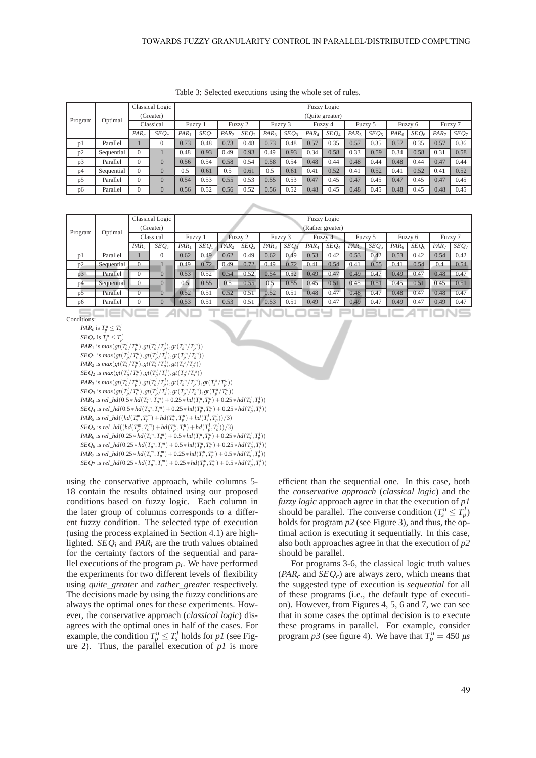|                    |            |                  | Classical Logic |                 | Fuzzy Logic |                  |                  |                  |         |                  |                  |                  |         |                  |                  |                  |         |
|--------------------|------------|------------------|-----------------|-----------------|-------------|------------------|------------------|------------------|---------|------------------|------------------|------------------|---------|------------------|------------------|------------------|---------|
| Optimal<br>Program |            | (Greater)        |                 | (Quite greater) |             |                  |                  |                  |         |                  |                  |                  |         |                  |                  |                  |         |
|                    |            | Classical        |                 |                 | Fuzzy 1     |                  | Fuzzy 2          |                  | Fuzzy 3 |                  | Fuzzy 4          |                  | Fuzzy 5 |                  | Fuzzy 6          |                  | Fuzzy 7 |
|                    |            | PAR <sub>c</sub> | $SEQ_c$         | PAR             | $SEQ_1$     | PAR <sub>2</sub> | SEQ <sub>2</sub> | PAR <sub>3</sub> | $SEQ_3$ | PAR <sub>4</sub> | SEQ <sub>4</sub> | PAR <sub>5</sub> | $SEQ_5$ | PAR <sub>6</sub> | SEO <sub>6</sub> | PAR <sub>7</sub> | $SEQ_7$ |
| pl                 | Parallel   |                  |                 | 0.73            | 0.48        | 0.73             | 0.48             | 0.73             | 0.48    | 0.57             | 0.35             | 0.57             | 0.35    | 0.57             | 0.35             | 0.57             | 0.36    |
| p2                 | Sequential |                  |                 | 0.48            | 0.93        | 0.49             | 0.93             | 0.49             | 0.93    | 0.34             | 0.58             | 0.33             | 0.59    | 0.34             | 0.58             | 0.31             | 0.58    |
| p3                 | Parallel   |                  | $\Omega$        | 0.56            | 0.54        | 0.58             | 0.54             | 0.58             | 0.54    | 0.48             | 0.44             | 0.48             | 0.44    | 0.48             | 0.44             | 0.47             | 0.44    |
| p4                 | Sequential |                  | $\Omega$        | 0.5             | 0.61        | 0.5              | 0.61             | 0.5              | 0.61    | 0.41             | 0.52             | 0.41             | 0.52    | 0.41             | 0.52             | 0.41             | 0.52    |
| p5                 | Parallel   |                  | $\Omega$        | 0.54            | 0.53        | 0.55             | 0.53             | 0.55             | 0.53    | 0.47             | 0.45             | 0.47             | 0.45    | 0.47             | 0.45             | 0.47             | 0.45    |
| p6                 | Parallel   |                  | $\Omega$        | 0.56            | 0.52        | 0.56             | 0.52             | 0.56             | 0.52    | 0.48             | 0.45             | 0.48             | 0.45    | 0.48             | 0.45             | 0.48             | 0.45    |

Table 3: Selected executions using the whole set of rules.

|                           |            |                  | Classical Logic |         |                  |                  |                  |                  |         |                  | Fuzzy Logic      |                  |         |                  |         |                  |         |
|---------------------------|------------|------------------|-----------------|---------|------------------|------------------|------------------|------------------|---------|------------------|------------------|------------------|---------|------------------|---------|------------------|---------|
| Program<br>Optimal        |            |                  | (Greater)       |         | (Rather greater) |                  |                  |                  |         |                  |                  |                  |         |                  |         |                  |         |
|                           |            |                  | Classical       |         | Fuzzy 1          |                  | Fuzzy 2          |                  | Fuzzy 3 |                  | Fuzzy 4          |                  | Fuzzy 5 |                  | Fuzzy 6 |                  | Fuzzy 7 |
|                           |            | PAR <sub>c</sub> | $SEQ_c$         | $PAR_1$ | $SEQ_1$          | PAR <sub>2</sub> | SEQ <sub>2</sub> | PAR <sub>3</sub> | $SEQ_3$ | PAR <sub>4</sub> | SEO <sub>4</sub> | PAR <sub>5</sub> | $SEQ_5$ | PAR <sub>6</sub> | $SEQ_6$ | PAR <sub>7</sub> | $SEQ_7$ |
| pl                        | Parallel   |                  | $\Omega$        | 0.62    | 0.49             | 0.62             | 0.49             | 0.62             | 0.49    | 0.53             | 0.42             | 0.53             | 0.42    | 0.53             | 0.42    | 0.54             | 0.42    |
| p2                        | Sequential | $\Omega$         |                 | 0.49    | 0.72             | 0.49             | 0.72             | 0.49             | 0.72    | 0.41             | 0.54             | 0.41             | 0.55    | 0.41             | 0.54    | 0.4              | 0.54    |
| p3                        | Parallel   |                  | $\Omega$        | 0.53    | 0.52             | 0.54             | 0.52             | 0.54             | 0.52    | 0.49             | 0.47             | 0.49             | 0.47    | 0.49             | 0.47    | 0.48             | 0.47    |
| p4                        | Sequential | $\Omega$         | $\Omega$        | 0.5     | 0.55             | 0.5              | 0.55             | 0.5              | 0.55    | 0.45             | 0.51             | 0.45             | 0.51    | 0.45             | 0.51    | 0.45             | 0.51    |
| p5                        | Parallel   |                  | $\Omega$        | 0.52    | 0.51             | 0.52             | 0.51             | 0.52             | 0.51    | 0.48             | 0.47             | 0.48             | 0.47    | 0.48             | 0.47    | 0.48             | 0.47    |
| p6                        | Parallel   | $\Omega$         | $\Omega$        | 0.53    | 0.51             | 0.53             | 0.51             | 0.53             | 0.51    | 0.49             | 0.47             | 0.49             | 0.47    | 0.49             | 0.47    | 0.49             | 0.47    |
| $\sim$<br><b>Security</b> |            |                  |                 |         |                  |                  |                  |                  |         |                  |                  |                  |         |                  |         |                  |         |

 $\overline{\mathsf{Conditions}}}$ : ENCE AND

*PAR<sub>c</sub>* is  $T_p^u \leq T_s^l$ *SEQ<sub>c</sub>* is  $T_s^u \leq T_p^l$ PAR<sub>1</sub> is  $max(gt(T_s^l/T_p^u),gt(T_s^l/T_p^l),gt(T_s^m/T_p^m))$ SEQ<sub>1</sub> is  $max(gt(T_p^l/T_s^u), gt(T_p^l/T_s^l), gt(T_p^m/T_s^m))$ PAR<sub>2</sub> is  $max(gt(T_s^l/T_p^u),gt(T_s^l/T_p^l),gt(T_s^u/T_p^u))$ SEQ<sub>2</sub> is  $max(gt(T_p^l/T_s^u),gt(T_p^l/T_s^l),gt(T_p^u/T_s^u))$ PAR<sub>3</sub> is  $max(gt;T'_s/T_p^u),gt(T'_s/T_p^l),gt(T_s^m/T_p^m),gt(T_s^u/T_p^u))$ SEQ<sub>3</sub> is  $max(gt(T_p^l/T_s^u),gt(T_p^l/T_s^l),gt(T_p^m/T_s^m),gt(T_p^u/T_s^u))$ *PAR*<sub>4</sub> is  $rel\_hd(0.5 * hd(T_s^m, T_p^m) + 0.25 * hd(T_s^u, T_p^u) + 0.25 * hd(T_s^l, T_p^l))$  $SEQ_4$  is  $rel\_hd(0.5 * hd(T_p^m, T_s^m) + 0.25 * hd(T_p^u, T_s^u) + 0.25 * hd(T_p^l, T_s^l))$ *PAR<sub>5</sub>* is  $rel\_hd((hd(T_s^m, T_p^m) + hd(T_s^u, T_p^u) + hd(T_s^l, T_p^l))/3)$ SEQ<sub>5</sub> is rel\_hd(( $hd(T_p^m, T_s^m) + hd(T_p^u, T_s^u) + hd(T_p^l, T_s^l)$ )/3) *PAR*<sub>6</sub> is  $rel\_hd(0.25 * hd(T_s^m, T_p^m) + 0.5 * hd(T_s^u, T_p^u) + 0.25 * hd(T_s^l, T_p^l))$ SEQ<sub>6</sub> is rel\_hd(0.25 \* hd( $T_p^m$ , $T_s^m$ ) + 0.5 \* hd( $T_p^u$ , $T_s^u$ ) + 0.25 \* hd( $T_p^l$ , $T_s^l$ )) *PAR*<sub>7</sub> is  $rel\_hd(0.25 * hd(T_s^m, T_p^m) + 0.25 * hd(T_s^u, T_p^u) + 0.5 * hd(T_s^l, T_p^l))$ SEQ<sub>7</sub> is rel\_hd(0.25 \* hd( $T_p^m$ , $T_s^m$ ) + 0.25 \* hd( $T_p^u$ , $T_s^u$ ) + 0.5 \* hd( $T_p^l$ , $T_s^l$ ))

using the conservative approach, while columns 5- 18 contain the results obtained using our proposed conditions based on fuzzy logic. Each column in the later group of columns corresponds to a different fuzzy condition. The selected type of execution (using the process explained in Section 4.1) are highlighted. *SEQ<sub>i</sub>* and *PAR<sub>i</sub>* are the truth values obtained for the certainty factors of the sequential and parallel executions of the program *p<sup>i</sup>* . We have performed the experiments for two different levels of flexibility using *quite\_greater* and *rather\_greater* respectively. The decisions made by using the fuzzy conditions are always the optimal ones for these experiments. However, the conservative approach (*classical logic*) disagrees with the optimal ones in half of the cases. For example, the condition  $T_p^u \leq T_s^l$  holds for *p1* (see Figure 2). Thus, the parallel execution of *p1* is more

efficient than the sequential one. In this case, both the *conservative approach* (*classical logic*) and the *fuzzy logic* approach agree in that the execution of *p1* should be parallel. The converse condition ( $T_s^u \leq T_p^l$ ) holds for program  $p2$  (see Figure 3), and thus, the optimal action is executing it sequentially. In this case, also both approaches agree in that the execution of *p2* should be parallel.

For programs 3-6, the classical logic truth values (*PAR<sup>c</sup>* and *SEQc*) are always zero, which means that the suggested type of execution is *sequential* for all of these programs (i.e., the default type of execution). However, from Figures 4, 5, 6 and 7, we can see that in some cases the optimal decision is to execute these programs in parallel. For example, consider program  $p3$  (see figure 4). We have that  $T_p^u = 450 \,\mu s$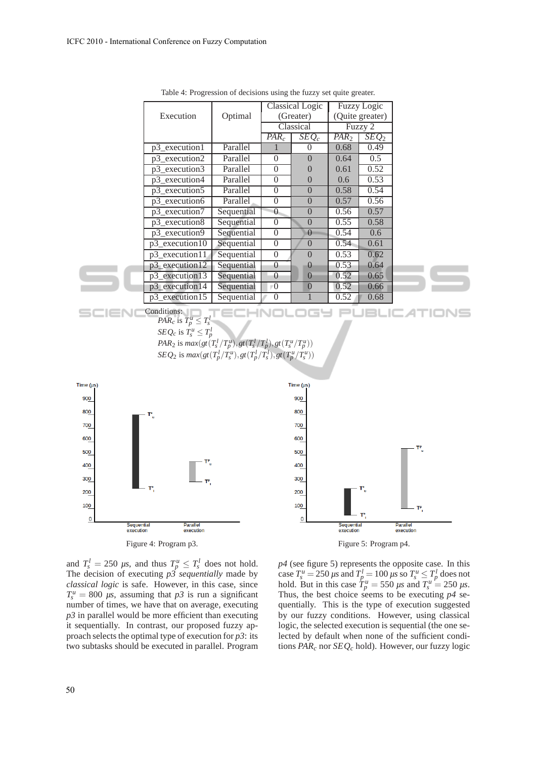|                   |            |                | Classical Logic    |                  | <b>Fuzzy Logic</b> |  |  |
|-------------------|------------|----------------|--------------------|------------------|--------------------|--|--|
| Execution         | Optimal    |                | (Greater)          |                  | (Quite greater)    |  |  |
|                   |            |                | Classical          |                  | Fuzzy 2            |  |  |
|                   |            | $PAR_c$        | $\overline{SEQ_c}$ | PAR <sub>2</sub> | $\overline{SEQ_2}$ |  |  |
| p3_execution1     | Parallel   |                | $\theta$           | 0.68             | 0.49               |  |  |
| p3 execution2     | Parallel   | $\Omega$       | $\theta$           | 0.64             | 0.5                |  |  |
| p3_execution3     | Parallel   | $\Omega$       | $\Omega$           | 0.61             | 0.52               |  |  |
| p3 execution4     | Parallel   | $\Omega$       | $\Omega$           | 0.6              | 0.53               |  |  |
| p3 execution5     | Parallel   | $\Omega$       | $\Omega$           | 0.58             | 0.54               |  |  |
| p3_execution6     | Parallel   | $\Omega$       | $\Omega$           | 0.57             | 0.56               |  |  |
| p3 execution7     | Sequential | $\Omega$       | $\Omega$           | 0.56             | 0.57               |  |  |
| p3_execution8     | Sequential | $\Omega$       | $\Omega$           | 0.55             | 0.58               |  |  |
| p3_execution9     | Sequential | $\Omega$       | $\Omega$           | 0.54             | 0.6                |  |  |
| $p3$ execution 10 | Sequential | $\Omega$       | $\Omega$           | 0.54             | 0.61               |  |  |
| p3_execution11    | Sequential | $\theta$       | $\Omega$           | 0.53             | 0.62               |  |  |
| $p3$ execution 12 | Sequential | $\Omega$       | $\Omega$           | 0.53             | 0.64               |  |  |
| p3_execution13    | Sequential | $\Omega$       | $\Omega$           | 0.52             | 0.65               |  |  |
| p3_execution14    | Sequential | $\mathbb{F}^0$ | $\theta$           | 0.52             | 0.66               |  |  |
| p3_execution15    | Sequential | $\overline{0}$ |                    | 0.52             | 0.68               |  |  |
|                   |            |                |                    |                  |                    |  |  |

Table 4: Progression of decisions using the fuzzy set quite greater.

**JBLICATIONS** Conditions: эG *PAR<sub>c</sub>* is  $T_p^u \leq T_s^l$ 

*SEQ<sub>c</sub>* is  $T_s^u \leq T_p^l$ 

PAR<sub>2</sub> is  $max(gt(T_s^l/T_p^u),gt(T_s^l/T_p^l),gt(T_s^u/T_p^u))$ SEQ<sub>2</sub> is  $max(gt(T_p^l/T_s^u), gt(T_p^l/T_s^l), gt(T_p^u/T_s^u))$ 





and  $T_s^l = 250 \mu s$ , and thus  $T_p^u \leq T_s^l$  does not hold. The decision of executing  $p\hat{J}$  sequentially made by *classical logic* is safe. However, in this case, since  $T_s^u = 800 \mu s$ , assuming that *p3* is run a significant number of times, we have that on average, executing *p3* in parallel would be more efficient than executing it sequentially. In contrast, our proposed fuzzy approach selects the optimal type of execution for  $p3$ : its two subtasks should be executed in parallel. Program

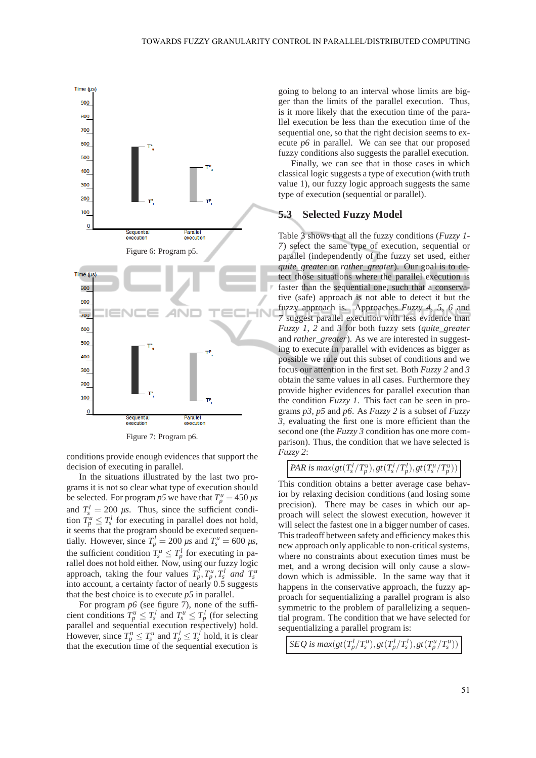

Figure 7: Program p6.

conditions provide enough evidences that support the decision of executing in parallel.

In the situations illustrated by the last two programs it is not so clear what type of execution should be selected. For program  $p5$  we have that  $T_p^u = 450 \,\mu s$ and  $T_s^l = 200 \mu s$ . Thus, since the sufficient condition  $T_p^u \leq T_s^l$  for executing in parallel does not hold, it seems that the program should be executed sequentially. However, since  $T_p^l = 200 \,\mu s$  and  $T_s^u = 600 \,\mu s$ , the sufficient condition  $T_s^u \leq T_p^l$  for executing in parallel does not hold either. Now, using our fuzzy logic approach, taking the four values  $T_p^{\bar{l}}$ ,  $T_p^u$ ,  $T_s^l$  *and*  $T_s^u$ into account, a certainty factor of nearly 0.5 suggests that the best choice is to execute  $p5$  in parallel.

For program  $p6$  (see figure 7), none of the sufficient conditions  $T_p^u \leq T_s^l$  and  $T_s^u \leq T_p^l$  (for selecting parallel and sequential execution respectively) hold. However, since  $T_p^u \leq T_s^u$  and  $T_p^l \leq T_s^l$  hold, it is clear that the execution time of the sequential execution is going to belong to an interval whose limits are bigger than the limits of the parallel execution. Thus, is it more likely that the execution time of the parallel execution be less than the execution time of the sequential one, so that the right decision seems to execute *p6* in parallel. We can see that our proposed fuzzy conditions also suggests the parallel execution.

Finally, we can see that in those cases in which classical logic suggests a type of execution (with truth value 1), our fuzzy logic approach suggests the same type of execution (sequential or parallel).

#### **5.3 Selected Fuzzy Model**

Table 3 shows that all the fuzzy conditions (*Fuzzy 1- 7*) select the same type of execution, sequential or parallel (independently of the fuzzy set used, either *quite\_greater* or *rather\_greater*). Our goal is to detect those situations where the parallel execution is faster than the sequential one, such that a conservative (safe) approach is not able to detect it but the fuzzy approach is. Approaches *Fuzzy 4*, *5*, *6* and *7* suggest parallel execution with less evidence than *Fuzzy 1*, *2* and *3* for both fuzzy sets (*quite\_greater* and *rather\_greater*). As we are interested in suggesting to execute in parallel with evidences as bigger as possible we rule out this subset of conditions and we focus our attention in the first set. Both *Fuzzy 2* and *3* obtain the same values in all cases. Furthermore they provide higher evidences for parallel execution than the condition *Fuzzy 1*. This fact can be seen in programs *p3*, *p5* and *p6*. As *Fuzzy 2* is a subset of *Fuzzy 3*, evaluating the first one is more efficient than the second one (the *Fuzzy 3* condition has one more comparison). Thus, the condition that we have selected is *Fuzzy 2*:

 $PAR$  is  $max(gt(T_s^l/T_p^u),gt(T_s^l/T_p^l),gt(T_s^l)(T_s^u/T_p^u))$ 

This condition obtains a better average case behavior by relaxing decision conditions (and losing some precision). There may be cases in which our approach will select the slowest execution, however it will select the fastest one in a bigger number of cases. This tradeoff between safety and efficiency makes this new approach only applicable to non-critical systems, where no constraints about execution times must be met, and a wrong decision will only cause a slowdown which is admissible. In the same way that it happens in the conservative approach, the fuzzy approach for sequentializing a parallel program is also symmetric to the problem of parallelizing a sequential program. The condition that we have selected for sequentializing a parallel program is:

 $\mathcal{SEQ}$  is  $max(gt(T^l_p / T^u_s), gt(T^l_p / T^l_s), gt(T^u_p / T^u_s))$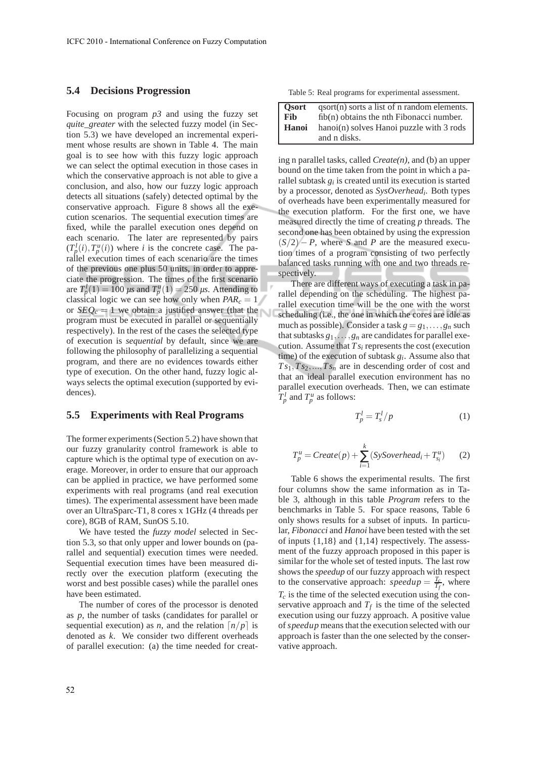#### **5.4 Decisions Progression**

Focusing on program *p3* and using the fuzzy set *quite\_greater* with the selected fuzzy model (in Section 5.3) we have developed an incremental experiment whose results are shown in Table 4. The main goal is to see how with this fuzzy logic approach we can select the optimal execution in those cases in which the conservative approach is not able to give a conclusion, and also, how our fuzzy logic approach detects all situations (safely) detected optimal by the conservative approach. Figure 8 shows all the execution scenarios. The sequential execution times are fixed, while the parallel execution ones depend on each scenario. The later are represented by pairs  $(T_p^l(i), T_p^u(i))$  where *i* is the concrete case. The parallel execution times of each scenario are the times of the previous one plus 50 units, in order to appreciate the progression. The times of the first scenario are  $T_p^l(1) = 100 \,\mu s$  and  $T_p^u(1) = 250 \,\mu s$ . Attending to classical logic we can see how only when  $PAR_c = 1$ or  $SEQ_c = 1$  we obtain a justified answer (that the program must be executed in parallel or sequentially respectively). In the rest of the cases the selected type of execution is *sequential* by default, since we are following the philosophy of parallelizing a sequential program, and there are no evidences towards either type of execution. On the other hand, fuzzy logic always selects the optimal execution (supported by evidences).

#### **5.5 Experiments with Real Programs**

The former experiments (Section 5.2) have shown that our fuzzy granularity control framework is able to capture which is the optimal type of execution on average. Moreover, in order to ensure that our approach can be applied in practice, we have performed some experiments with real programs (and real execution times). The experimental assessment have been made over an UltraSparc-T1, 8 cores x 1GHz (4 threads per core), 8GB of RAM, SunOS 5.10.

We have tested the *fuzzy model* selected in Section 5.3, so that only upper and lower bounds on (parallel and sequential) execution times were needed. Sequential execution times have been measured directly over the execution platform (executing the worst and best possible cases) while the parallel ones have been estimated.

The number of cores of the processor is denoted as *p*, the number of tasks (candidates for parallel or sequential execution) as *n*, and the relation  $\lceil n/p \rceil$  is denoted as *k*. We consider two different overheads of parallel execution: (a) the time needed for creat-

| <b>Osort</b> | $qsort(n)$ sorts a list of n random elements. |
|--------------|-----------------------------------------------|
| <b>Fib</b>   | $fib(n)$ obtains the nth Fibonacci number.    |
| Hanoi        | hanoi(n) solves Hanoi puzzle with 3 rods      |
|              | and n disks.                                  |

ing n parallel tasks, called *Create(n)*, and (b) an upper bound on the time taken from the point in which a parallel subtask  $g_i$  is created until its execution is started by a processor, denoted as *SysOverhead<sup>i</sup>* . Both types of overheads have been experimentally measured for the execution platform. For the first one, we have measured directly the time of creating *p* threads. The second one has been obtained by using the expression  $(S/2) - P$ , where *S* and *P* are the measured execution times of a program consisting of two perfectly balanced tasks running with one and two threads respectively.

There are different ways of executing a task in parallel depending on the scheduling. The highest parallel execution time will be the one with the worst scheduling (i.e., the one in which the cores are idle as much as possible). Consider a task  $g = g_1, \ldots, g_n$  such that subtasks  $g_1, \ldots, g_n$  are candidates for parallel execution. Assume that  $Ts_i$  represents the cost (execution time) of the execution of subtask *g<sup>i</sup>* . Assume also that  $Ts_1, Ts_2, \ldots, Ts_n$  are in descending order of cost and that an ideal parallel execution environment has no parallel execution overheads. Then, we can estimate  $T_p^l$  and  $T_p^u$  as follows:

$$
T_p^l = T_s^l / p \tag{1}
$$

$$
T_p^u = Create(p) + \sum_{i=1}^k (SySoverhead_i + T_{s_i}^u)
$$
 (2)

Table 6 shows the experimental results. The first four columns show the same information as in Table 3, although in this table *Program* refers to the benchmarks in Table 5. For space reasons, Table 6 only shows results for a subset of inputs. In particular, *Fibonacci* and *Hanoi* have been tested with the set of inputs {1,18} and {1,14} respectively. The assessment of the fuzzy approach proposed in this paper is similar for the whole set of tested inputs. The last row shows the *speedup* of our fuzzy approach with respect to the conservative approach: *speedup* =  $\frac{T_c}{T_f}$ , where  $T_c$  is the time of the selected execution using the conservative approach and  $T_f$  is the time of the selected execution using our fuzzy approach. A positive value of*speedup* means that the execution selected with our approach is faster than the one selected by the conservative approach.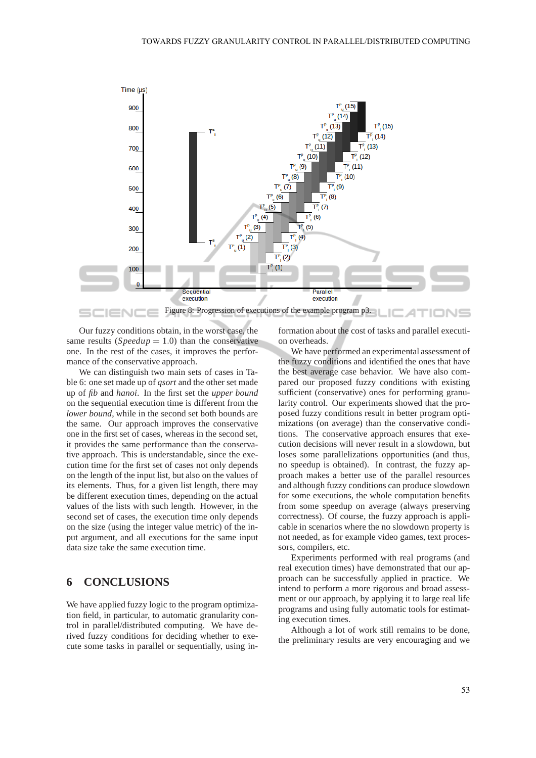

Figure 8: Progression of executions of the example program p3. :IENCE

Our fuzzy conditions obtain, in the worst case, the same results (*Speedup* = 1.0) than the conservative one. In the rest of the cases, it improves the performance of the conservative approach.

We can distinguish two main sets of cases in Table 6: one set made up of *qsort* and the other set made up of *fib* and *hanoi*. In the first set the *upper bound* on the sequential execution time is different from the *lower bound*, while in the second set both bounds are the same. Our approach improves the conservative one in the first set of cases, whereas in the second set, it provides the same performance than the conservative approach. This is understandable, since the execution time for the first set of cases not only depends on the length of the input list, but also on the values of its elements. Thus, for a given list length, there may be different execution times, depending on the actual values of the lists with such length. However, in the second set of cases, the execution time only depends on the size (using the integer value metric) of the input argument, and all executions for the same input data size take the same execution time.

## **6 CONCLUSIONS**

We have applied fuzzy logic to the program optimization field, in particular, to automatic granularity control in parallel/distributed computing. We have derived fuzzy conditions for deciding whether to execute some tasks in parallel or sequentially, using in-

formation about the cost of tasks and parallel execution overheads.

We have performed an experimental assessment of the fuzzy conditions and identified the ones that have the best average case behavior. We have also compared our proposed fuzzy conditions with existing sufficient (conservative) ones for performing granularity control. Our experiments showed that the proposed fuzzy conditions result in better program optimizations (on average) than the conservative conditions. The conservative approach ensures that execution decisions will never result in a slowdown, but loses some parallelizations opportunities (and thus, no speedup is obtained). In contrast, the fuzzy approach makes a better use of the parallel resources and although fuzzy conditions can produce slowdown for some executions, the whole computation benefits from some speedup on average (always preserving correctness). Of course, the fuzzy approach is applicable in scenarios where the no slowdown property is not needed, as for example video games, text processors, compilers, etc.

Experiments performed with real programs (and real execution times) have demonstrated that our approach can be successfully applied in practice. We intend to perform a more rigorous and broad assessment or our approach, by applying it to large real life programs and using fully automatic tools for estimating execution times.

Although a lot of work still remains to be done, the preliminary results are very encouraging and we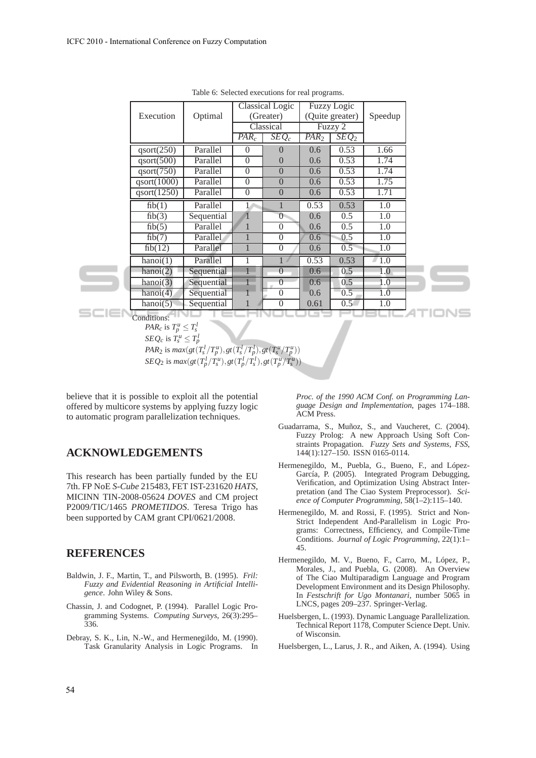|        |             |            |                  | <b>Classical Logic</b> |                    | Fuzzy Logic        |      |
|--------|-------------|------------|------------------|------------------------|--------------------|--------------------|------|
|        | Execution   | Optimal    |                  | (Greater)              | (Quite greater)    | Speedup            |      |
|        |             |            |                  | Classical              |                    | Fuzzy 2            |      |
|        |             |            | PAR <sub>c</sub> | $\overline{S}EQ_c$     | $\overline{PAR}_2$ | $\overline{SEQ_2}$ |      |
|        | qsort(250)  | Parallel   | $\Omega$         | $\Omega$               | 0.6                | 0.53               | 1.66 |
|        | qsort(500)  | Parallel   | $\overline{0}$   | $\theta$               | 0.6                | 0.53               | 1.74 |
|        | qsort(750)  | Parallel   | $\overline{0}$   | $\Omega$               | 0.6                | 0.53               | 1.74 |
|        | qsort(1000) | Parallel   | $\overline{0}$   | $\theta$               | 0.6                | 0.53               | 1.75 |
|        | qsort(1250) | Parallel   | $\Omega$         | $\Omega$               | 0.6                | 0.53               | 1.71 |
|        | fib(1)      | Parallel   |                  |                        | 0.53               | 0.53               | 1.0  |
|        | fib(3)      | Sequential |                  | $\Omega$               | 0.6                | $0.5^{\circ}$      | 1.0  |
|        | fib(5)      | Parallel   | 1                | $\overline{0}$         | 0.6                | 0.5                | 1.0  |
|        | fib(7)      | Parallel   |                  | $\overline{0}$         | 0.6                | 0.5                | 1.0  |
|        | fib(12)     | Parallel   | 1                | $\overline{0}$         | 0.6                | 0.5                | 1.0  |
|        | hanoi(1)    | Parallel   |                  |                        | 0.53               | 0.53               | 1.0  |
|        | hanoi(2)    | Sequential |                  | $\theta$               | 0.6                | 0.5                | 1.0  |
|        | hanoi(3)    | Sequential |                  | $\overline{0}$         | 0.6                | 0.5                | 1.0  |
|        | hanoi(4)    | Sequential |                  | $\Omega$               | 0.6                | 0.5                | 1.0  |
|        | hanoi(5)    | Sequential |                  | $\overline{0}$         | 0.61               | 0.5                | 1.0  |
| $-1 =$ | Conditions: |            |                  |                        |                    |                    |      |

|  |  | Table 6: Selected executions for real programs. |  |  |
|--|--|-------------------------------------------------|--|--|
|--|--|-------------------------------------------------|--|--|

*PAR<sub>c</sub>* is  $T_p^u \leq T_s^l$ 

*SEQ<sub>c</sub>* is  $T_s^u \leq T_p^l$ 

PAR<sub>2</sub> is  $max(gt(T_s^l/T_p^u),gt(T_s^l/T_p^l),gt(T_s^u/T_p^u))$ SEQ<sub>2</sub> is  $max(gt(T_p^l/T_s^u), gt(T_p^l/T_s^l), gt(T_p^u/T_s^u))$ 

believe that it is possible to exploit all the potential offered by multicore systems by applying fuzzy logic to automatic program parallelization techniques.

### **ACKNOWLEDGEMENTS**

This research has been partially funded by the EU 7th. FP NoE *S-Cube* 215483, FET IST-231620 *HATS*, MICINN TIN-2008-05624 *DOVES* and CM project P2009/TIC/1465 *PROMETIDOS*. Teresa Trigo has been supported by CAM grant CPI/0621/2008.

### **REFERENCES**

- Baldwin, J. F., Martin, T., and Pilsworth, B. (1995). *Fril: Fuzzy and Evidential Reasoning in Artificial Intelligence*. John Wiley & Sons.
- Chassin, J. and Codognet, P. (1994). Parallel Logic Programming Systems. *Computing Surveys*, 26(3):295– 336.
- Debray, S. K., Lin, N.-W., and Hermenegildo, M. (1990). Task Granularity Analysis in Logic Programs. In

*Proc. of the 1990 ACM Conf. on Programming Language Design and Implementation*, pages 174–188. ACM Press.

- Guadarrama, S., Muñoz, S., and Vaucheret, C. (2004). Fuzzy Prolog: A new Approach Using Soft Constraints Propagation. *Fuzzy Sets and Systems, FSS*, 144(1):127–150. ISSN 0165-0114.
- Hermenegildo, M., Puebla, G., Bueno, F., and López-García, P. (2005). Integrated Program Debugging, Verification, and Optimization Using Abstract Interpretation (and The Ciao System Preprocessor). *Science of Computer Programming*, 58(1–2):115–140.
- Hermenegildo, M. and Rossi, F. (1995). Strict and Non-Strict Independent And-Parallelism in Logic Programs: Correctness, Efficiency, and Compile-Time Conditions. *Journal of Logic Programming*, 22(1):1– 45.
- Hermenegildo, M. V., Bueno, F., Carro, M., López, P., Morales, J., and Puebla, G. (2008). An Overview of The Ciao Multiparadigm Language and Program Development Environment and its Design Philosophy. In *Festschrift for Ugo Montanari*, number 5065 in LNCS, pages 209–237. Springer-Verlag.
- Huelsbergen, L. (1993). Dynamic Language Parallelization. Technical Report 1178, Computer Science Dept. Univ. of Wisconsin.
- Huelsbergen, L., Larus, J. R., and Aiken, A. (1994). Using